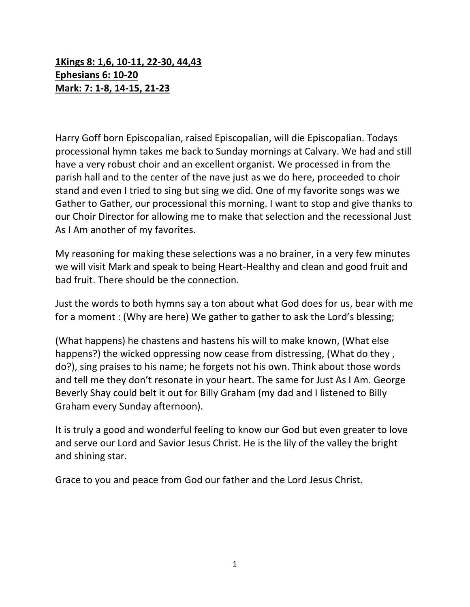## **1Kings 8: 1,6, 10‐11, 22‐30, 44,43 Ephesians 6: 10‐20 Mark: 7: 1‐8, 14‐15, 21‐23**

Harry Goff born Episcopalian, raised Episcopalian, will die Episcopalian. Todays processional hymn takes me back to Sunday mornings at Calvary. We had and still have a very robust choir and an excellent organist. We processed in from the parish hall and to the center of the nave just as we do here, proceeded to choir stand and even I tried to sing but sing we did. One of my favorite songs was we Gather to Gather, our processional this morning. I want to stop and give thanks to our Choir Director for allowing me to make that selection and the recessional Just As I Am another of my favorites.

My reasoning for making these selections was a no brainer, in a very few minutes we will visit Mark and speak to being Heart‐Healthy and clean and good fruit and bad fruit. There should be the connection.

Just the words to both hymns say a ton about what God does for us, bear with me for a moment : (Why are here) We gather to gather to ask the Lord's blessing;

(What happens) he chastens and hastens his will to make known, (What else happens?) the wicked oppressing now cease from distressing, (What do they, do?), sing praises to his name; he forgets not his own. Think about those words and tell me they don't resonate in your heart. The same for Just As I Am. George Beverly Shay could belt it out for Billy Graham (my dad and I listened to Billy Graham every Sunday afternoon).

It is truly a good and wonderful feeling to know our God but even greater to love and serve our Lord and Savior Jesus Christ. He is the lily of the valley the bright and shining star.

Grace to you and peace from God our father and the Lord Jesus Christ.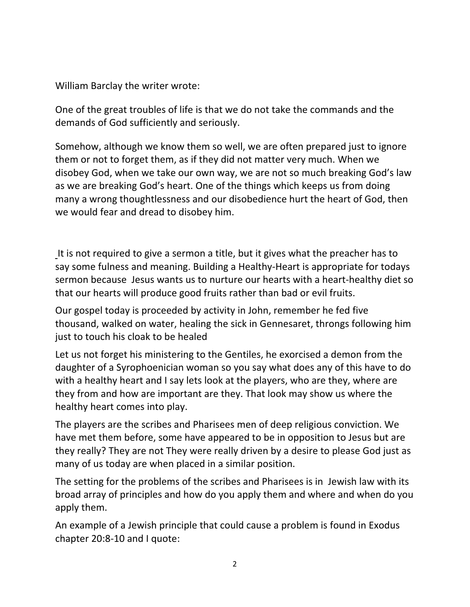William Barclay the writer wrote:

One of the great troubles of life is that we do not take the commands and the demands of God sufficiently and seriously.

Somehow, although we know them so well, we are often prepared just to ignore them or not to forget them, as if they did not matter very much. When we disobey God, when we take our own way, we are not so much breaking God's law as we are breaking God's heart. One of the things which keeps us from doing many a wrong thoughtlessness and our disobedience hurt the heart of God, then we would fear and dread to disobey him.

It is not required to give a sermon a title, but it gives what the preacher has to say some fulness and meaning. Building a Healthy‐Heart is appropriate for todays sermon because Jesus wants us to nurture our hearts with a heart‐healthy diet so that our hearts will produce good fruits rather than bad or evil fruits.

Our gospel today is proceeded by activity in John, remember he fed five thousand, walked on water, healing the sick in Gennesaret, throngs following him just to touch his cloak to be healed

Let us not forget his ministering to the Gentiles, he exorcised a demon from the daughter of a Syrophoenician woman so you say what does any of this have to do with a healthy heart and I say lets look at the players, who are they, where are they from and how are important are they. That look may show us where the healthy heart comes into play.

The players are the scribes and Pharisees men of deep religious conviction. We have met them before, some have appeared to be in opposition to Jesus but are they really? They are not They were really driven by a desire to please God just as many of us today are when placed in a similar position.

The setting for the problems of the scribes and Pharisees is in Jewish law with its broad array of principles and how do you apply them and where and when do you apply them.

An example of a Jewish principle that could cause a problem is found in Exodus chapter 20:8‐10 and I quote: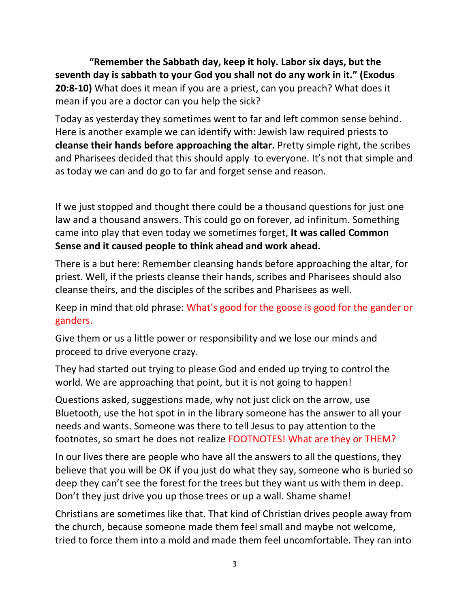**"Remember the Sabbath day, keep it holy. Labor six days, but the seventh day is sabbath to your God you shall not do any work in it." (Exodus 20:8‐10)** What does it mean if you are a priest, can you preach? What does it mean if you are a doctor can you help the sick?

Today as yesterday they sometimes went to far and left common sense behind. Here is another example we can identify with: Jewish law required priests to **cleanse their hands before approaching the altar.** Pretty simple right, the scribes and Pharisees decided that this should apply to everyone. It's not that simple and as today we can and do go to far and forget sense and reason.

If we just stopped and thought there could be a thousand questions for just one law and a thousand answers. This could go on forever, ad infinitum. Something came into play that even today we sometimes forget, **It was called Common Sense and it caused people to think ahead and work ahead.**

There is a but here: Remember cleansing hands before approaching the altar, for priest. Well, if the priests cleanse their hands, scribes and Pharisees should also cleanse theirs, and the disciples of the scribes and Pharisees as well.

Keep in mind that old phrase: What's good for the goose is good for the gander or ganders.

Give them or us a little power or responsibility and we lose our minds and proceed to drive everyone crazy.

They had started out trying to please God and ended up trying to control the world. We are approaching that point, but it is not going to happen!

Questions asked, suggestions made, why not just click on the arrow, use Bluetooth, use the hot spot in in the library someone has the answer to all your needs and wants. Someone was there to tell Jesus to pay attention to the footnotes, so smart he does not realize FOOTNOTES! What are they or THEM?

In our lives there are people who have all the answers to all the questions, they believe that you will be OK if you just do what they say, someone who is buried so deep they can't see the forest for the trees but they want us with them in deep. Don't they just drive you up those trees or up a wall. Shame shame!

Christians are sometimes like that. That kind of Christian drives people away from the church, because someone made them feel small and maybe not welcome, tried to force them into a mold and made them feel uncomfortable. They ran into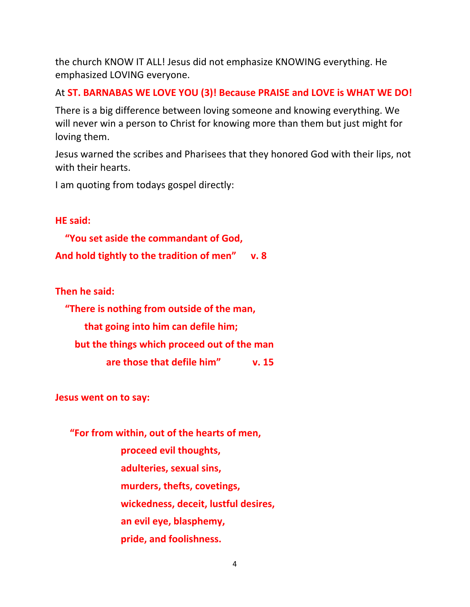the church KNOW IT ALL! Jesus did not emphasize KNOWING everything. He emphasized LOVING everyone.

At **ST. BARNABAS WE LOVE YOU (3)! Because PRAISE and LOVE is WHAT WE DO!** 

There is a big difference between loving someone and knowing everything. We will never win a person to Christ for knowing more than them but just might for loving them.

Jesus warned the scribes and Pharisees that they honored God with their lips, not with their hearts.

I am quoting from todays gospel directly:

**HE said:** 

 **"You set aside the commandant of God, And hold tightly to the tradition of men" v. 8** 

**Then he said:** 

 **"There is nothing from outside of the man, that going into him can defile him; but the things which proceed out of the man are those that defile him" v. 15** 

**Jesus went on to say:** 

 **"For from within, out of the hearts of men, proceed evil thoughts, adulteries, sexual sins, murders, thefts, covetings, wickedness, deceit, lustful desires, an evil eye, blasphemy, pride, and foolishness.**